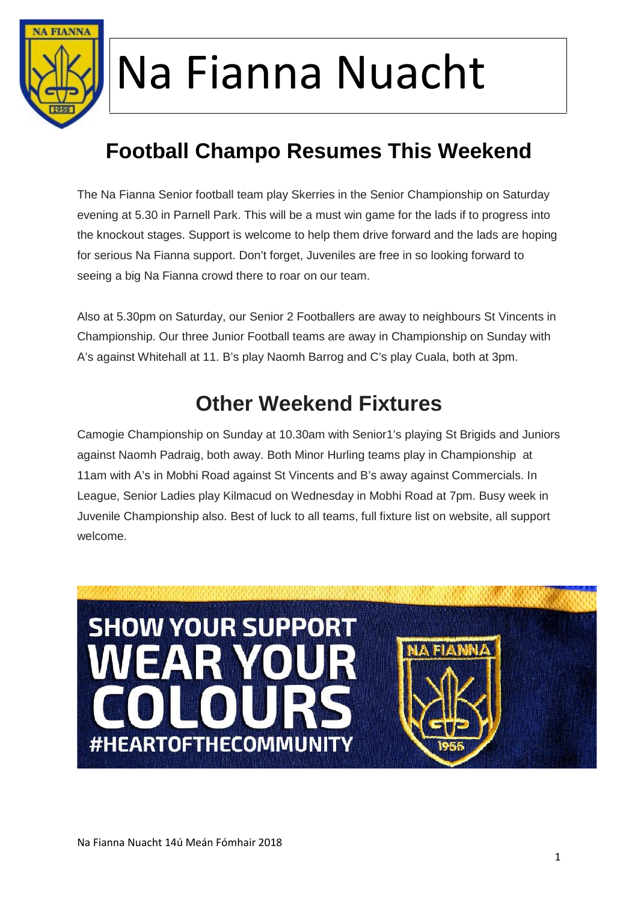

### **Football Champo Resumes This Weekend**

The Na Fianna Senior football team play Skerries in the Senior Championship on Saturday evening at 5.30 in Parnell Park. This will be a must win game for the lads if to progress into the knockout stages. Support is welcome to help them drive forward and the lads are hoping for serious Na Fianna support. Don't forget, Juveniles are free in so looking forward to seeing a big Na Fianna crowd there to roar on our team.

Also at 5.30pm on Saturday, our Senior 2 Footballers are away to neighbours St Vincents in Championship. Our three Junior Football teams are away in Championship on Sunday with A's against Whitehall at 11. B's play Naomh Barrog and C's play Cuala, both at 3pm.

### **Other Weekend Fixtures**

Camogie Championship on Sunday at 10.30am with Senior1's playing St Brigids and Juniors against Naomh Padraig, both away. Both Minor Hurling teams play in Championship at 11am with A's in Mobhi Road against St Vincents and B's away against Commercials. In League, Senior Ladies play Kilmacud on Wednesday in Mobhi Road at 7pm. Busy week in Juvenile Championship also. Best of luck to all teams, full fixture list on website, all support welcome.

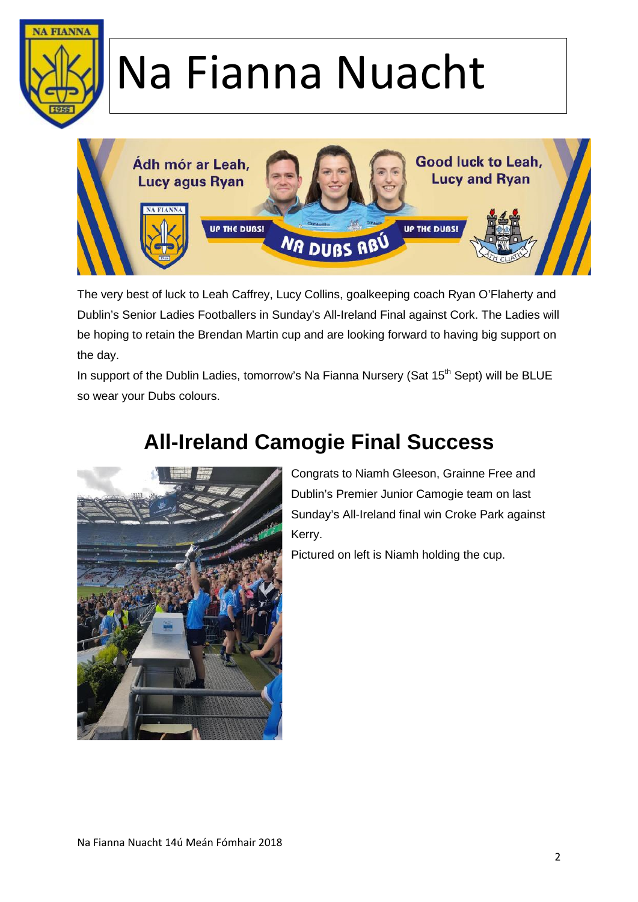



The very best of luck to Leah Caffrey, Lucy Collins, goalkeeping coach Ryan O'Flaherty and Dublin's Senior Ladies Footballers in Sunday's All-Ireland Final against Cork. The Ladies will be hoping to retain the Brendan Martin cup and are looking forward to having big support on the day.

In support of the Dublin Ladies, tomorrow's Na Fianna Nursery (Sat  $15<sup>th</sup>$  Sept) will be BLUE so wear your Dubs colours.



### **All-Ireland Camogie Final Success**

Congrats to Niamh Gleeson, Grainne Free and Dublin's Premier Junior Camogie team on last Sunday's All-Ireland final win Croke Park against Kerry.

Pictured on left is Niamh holding the cup.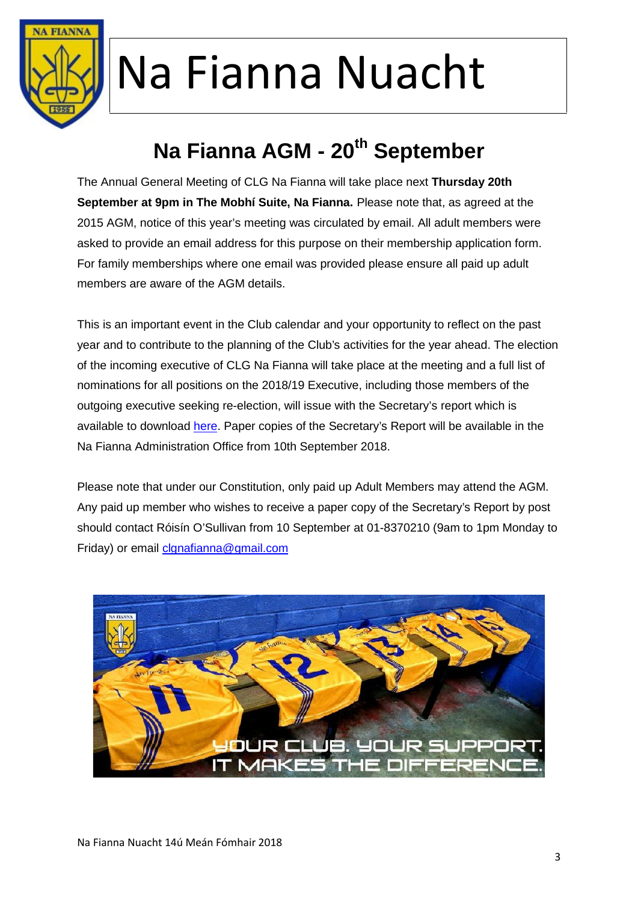

### **Na Fianna AGM - 20th September**

The Annual General Meeting of CLG Na Fianna will take place next **Thursday 20th September at 9pm in The Mobhí Suite, Na Fianna.** Please note that, as agreed at the 2015 AGM, notice of this year's meeting was circulated by email. All adult members were asked to provide an email address for this purpose on their membership application form. For family memberships where one email was provided please ensure all paid up adult members are aware of the AGM details.

This is an important event in the Club calendar and your opportunity to reflect on the past year and to contribute to the planning of the Club's activities for the year ahead. The election of the incoming executive of CLG Na Fianna will take place at the meeting and a full list of nominations for all positions on the 2018/19 Executive, including those members of the outgoing executive seeking re-election, will issue with the Secretary's report which is available to download here. Paper copies of the Secretary's Report will be available in the Na Fianna Administration Office from 10th September 2018.

Please note that under our Constitution, only paid up Adult Members may attend the AGM. Any paid up member who wishes to receive a paper copy of the Secretary's Report by post should contact Róisín O'Sullivan from 10 September at 01-8370210 (9am to 1pm Monday to Friday) or email clgnafianna@gmail.com

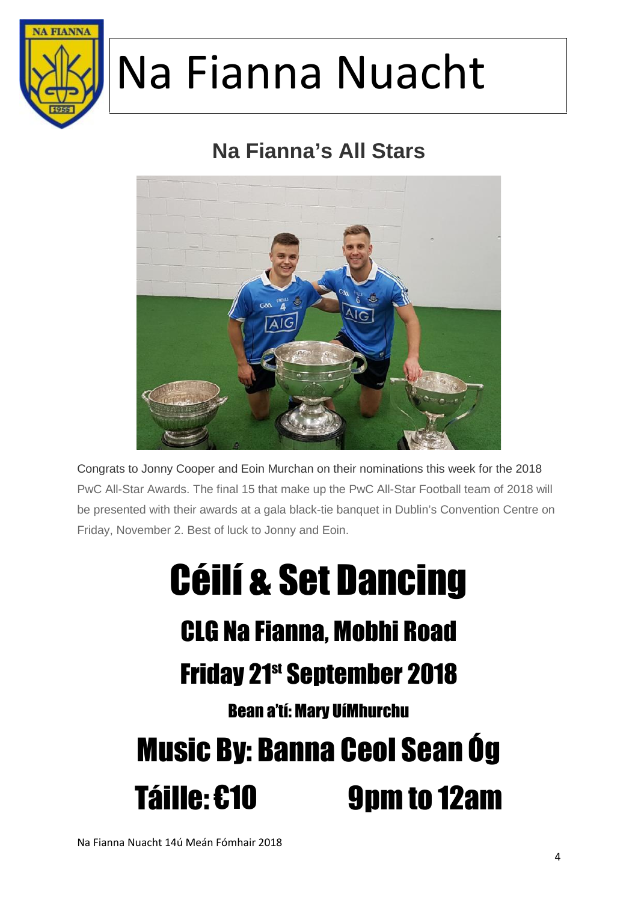

### **Na Fianna's All Stars**



Congrats to Jonny Cooper and Eoin Murchan on their nominations this week for the 2018 PwC All-Star Awards. The final 15 that make up the PwC All-Star Football team of 2018 will be presented with their awards at a gala black-tie banquet in Dublin's Convention Centre on Friday, November 2. Best of luck to Jonny and Eoin.

## Céilí & Set Dancing CLG Na Fianna, Mobhi Road **Friday 21st September 2018** Bean a'tí: Mary UíMhurchu Music By: Banna Ceol Sean Óg Táille: €10 9pm to 12am

Na Fianna Nuacht 14ú Meán Fómhair 2018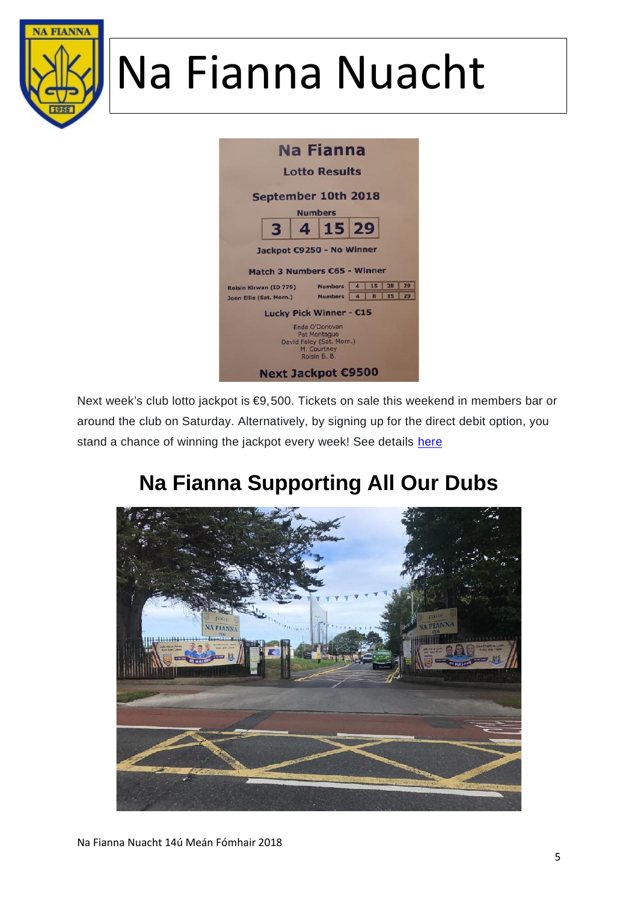



Next week's club lotto jackpot is €9,500. Tickets on sale this weekend in members bar or around the club on Saturday. Alternatively, by signing up for the direct debit option, you stand a chance of winning the jackpot every week! See details here

### **Na Fianna Supporting All Our Dubs**

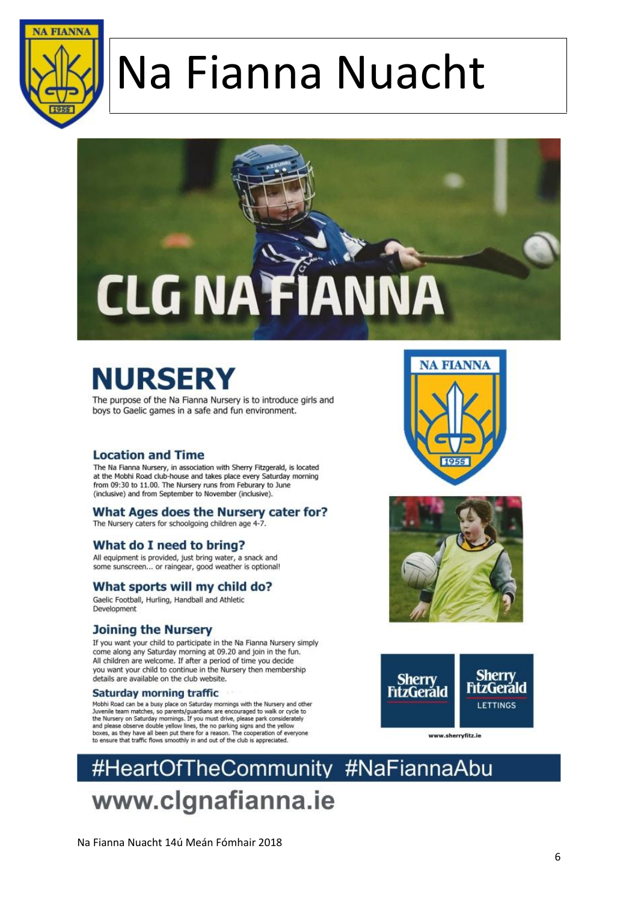



## **NURSERY**

The purpose of the Na Fianna Nursery is to introduce girls and boys to Gaelic games in a safe and fun environment.

#### **Location and Time**

The Na Fianna Nursery, in association with Sherry Fitzgerald, is located at the Mobhi Road club-house and takes place every Saturday morning from 09:30 to 11.00. The Nursery runs from Feburary to June (inclusive) and from September to November (inclusive).

#### What Ages does the Nursery cater for?

The Nursery caters for schoolgoing children age 4-7.

#### What do I need to bring?

All equipment is provided, just bring water, a snack and some sunscreen... or raingear, good weather is optional!

#### What sports will my child do?

Gaelic Football, Hurling, Handball and Athletic Development

#### **Joining the Nursery**

If you want your child to participate in the Na Fianna Nursery simply come along any Saturday morning at 09.20 and join in the fun. All children are welcome. If after a period of time you decide you want your child to continue in the Nursery then membership details are available on the club website.

#### Saturday morning traffic

Mobhi Road can be a busy place on Saturday mornings with the Nursery and other Plumin road can be a busy piace on Saturday informings with the winsery and outside Juvenile team matches, so parents/guardians are encouraged to walk or cycle to the Nursery on Saturday mornings. If you must drive, please







#HeartOfTheCommunity #NaFiannaAbu www.clgnafianna.ie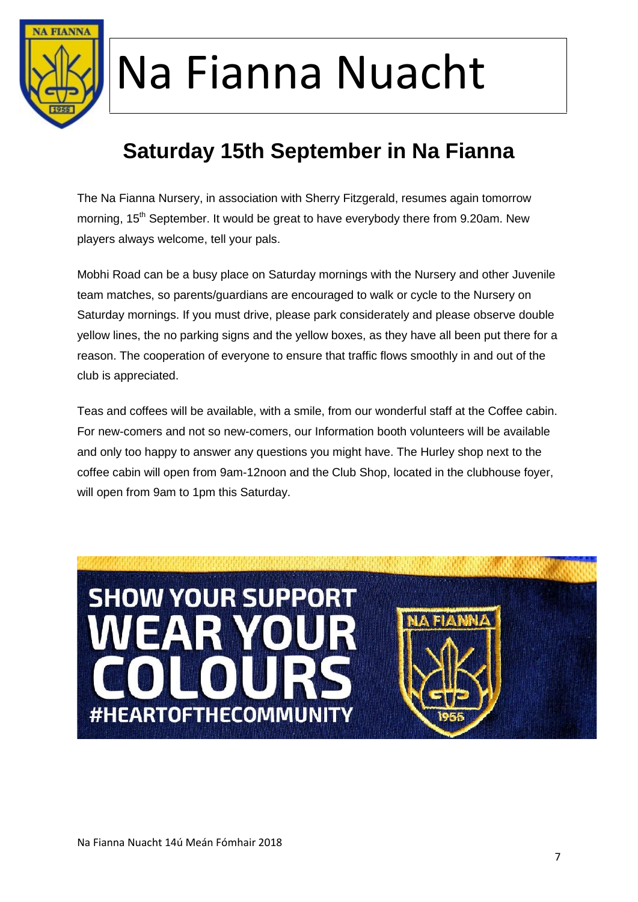

### **Saturday 15th September in Na Fianna**

The Na Fianna Nursery, in association with Sherry Fitzgerald, resumes again tomorrow morning, 15<sup>th</sup> September. It would be great to have everybody there from 9.20am. New players always welcome, tell your pals.

Mobhi Road can be a busy place on Saturday mornings with the Nursery and other Juvenile team matches, so parents/guardians are encouraged to walk or cycle to the Nursery on Saturday mornings. If you must drive, please park considerately and please observe double yellow lines, the no parking signs and the yellow boxes, as they have all been put there for a reason. The cooperation of everyone to ensure that traffic flows smoothly in and out of the club is appreciated.

Teas and coffees will be available, with a smile, from our wonderful staff at the Coffee cabin. For new-comers and not so new-comers, our Information booth volunteers will be available and only too happy to answer any questions you might have. The Hurley shop next to the coffee cabin will open from 9am-12noon and the Club Shop, located in the clubhouse foyer, will open from 9am to 1pm this Saturday.

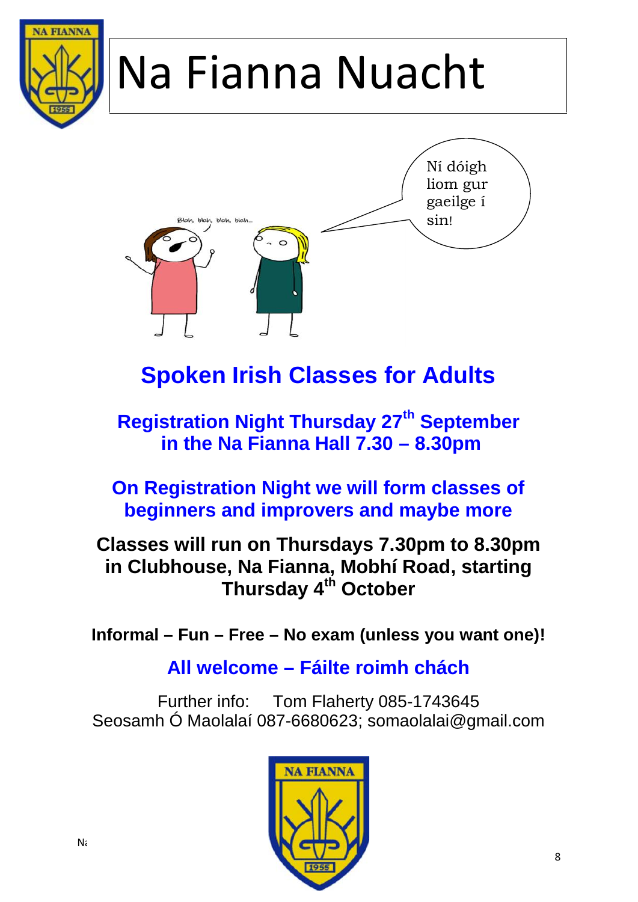# **VA FIANNA** Na Fianna Nuacht Ní dóigh



## **Spoken Irish Classes for Adults**

### **Registration Night Thursday 27th September in the Na Fianna Hall 7.30 – 8.30pm**

#### **On Registration Night we will form classes of beginners and improvers and maybe more**

#### **Classes will run on Thursdays 7.30pm to 8.30pm in Clubhouse, Na Fianna, Mobhí Road, starting Thursday 4th October**

**Informal – Fun – Free – No exam (unless you want one)!**

#### **All welcome – Fáilte roimh chách**

Further info: Tom Flaherty 085-1743645 Seosamh Ó Maolalaí 087-6680623; somaolalai@gmail.com

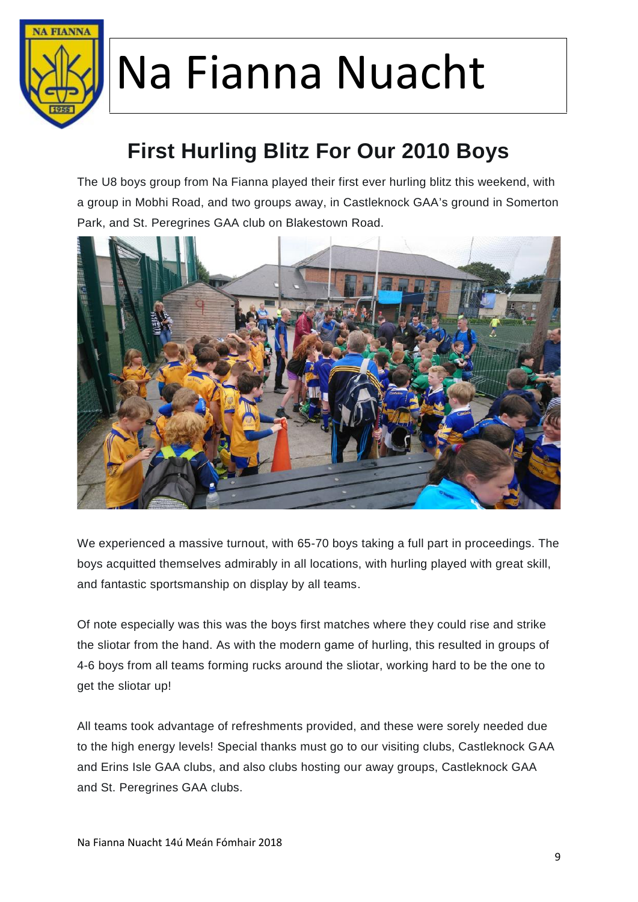

### **First Hurling Blitz For Our 2010 Boys**

The U8 boys group from Na Fianna played their first ever hurling blitz this weekend, with a group in Mobhi Road, and two groups away, in Castleknock GAA's ground in Somerton Park, and St. Peregrines GAA club on Blakestown Road.



We experienced a massive turnout, with 65-70 boys taking a full part in proceedings. The boys acquitted themselves admirably in all locations, with hurling played with great skill, and fantastic sportsmanship on display by all teams.

Of note especially was this was the boys first matches where they could rise and strike the sliotar from the hand. As with the modern game of hurling, this resulted in groups of 4-6 boys from all teams forming rucks around the sliotar, working hard to be the one to get the sliotar up!

All teams took advantage of refreshments provided, and these were sorely needed due to the high energy levels! Special thanks must go to our visiting clubs, Castleknock GAA and Erins Isle GAA clubs, and also clubs hosting our away groups, Castleknock GAA and St. Peregrines GAA clubs.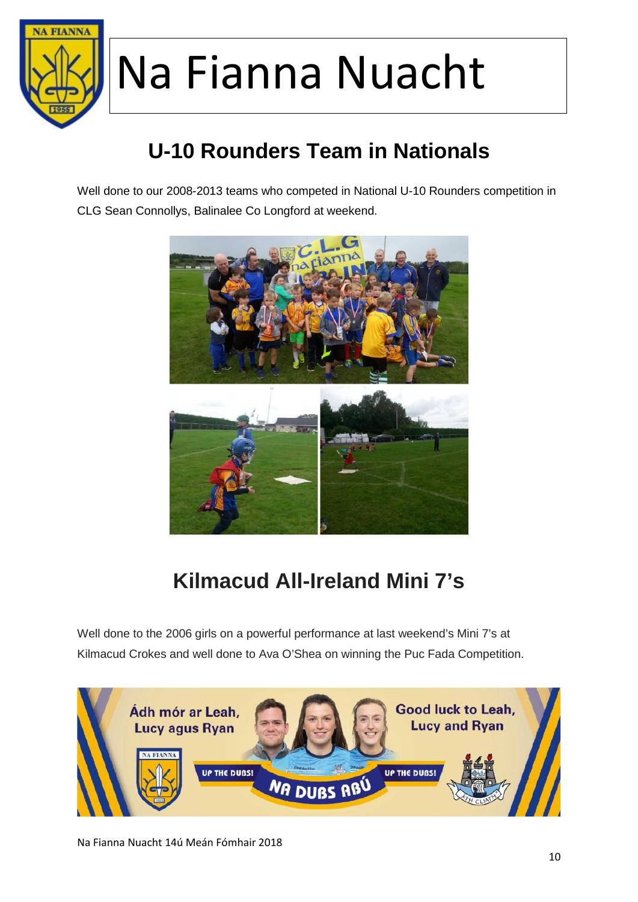

### **U-10 Rounders Team in Nationals**

Well done to our 2008-2013 teams who competed in National U-10 Rounders competition in CLG Sean Connollys, Balinalee Co Longford at weekend.



### **Kilmacud All-Ireland Mini 7's**

Well done to the 2006 girls on a powerful performance at last weekend's Mini 7's at Kilmacud Crokes and well done to Ava O'Shea on winning the Puc Fada Competition.